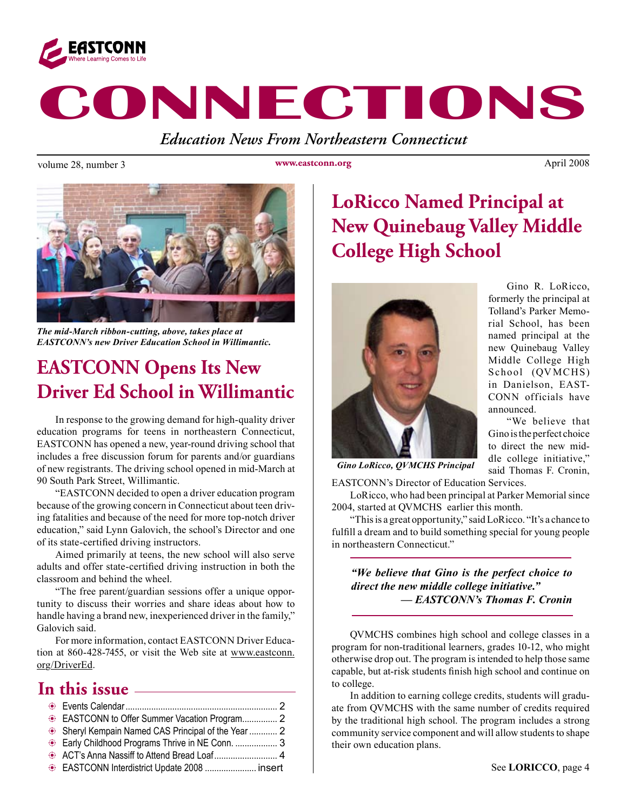

# **CONNECTIONS**

*Education News From Northeastern Connecticut*

volume 28, number 3 www.eastconn.org April 2008

**www.eastconn.org**



*The mid-March ribbon-cutting, above, takes place at EASTCONN's new Driver Education School in Willimantic.*

### **EASTCONN Opens Its New Driver Ed School in Willimantic**

In response to the growing demand for high-quality driver education programs for teens in northeastern Connecticut, EASTCONN has opened a new, year-round driving school that includes a free discussion forum for parents and/or guardians of new registrants. The driving school opened in mid-March at 90 South Park Street, Willimantic.

"EASTCONN decided to open a driver education program because of the growing concern in Connecticut about teen driving fatalities and because of the need for more top-notch driver education," said Lynn Galovich, the school's Director and one of its state-certifed driving instructors.

Aimed primarily at teens, the new school will also serve adults and offer state-certifed driving instruction in both the classroom and behind the wheel.

"The free parent/guardian sessions offer a unique opportunity to discuss their worries and share ideas about how to handle having a brand new, inexperienced driver in the family," Galovich said.

For more information, contact EASTCONN Driver Education at 860-428-7455, or visit the Web site at www.eastconn. org/DriverEd.

### **In this issue**

| EASTCONN to Offer Summer Vacation Program 2       |  |
|---------------------------------------------------|--|
| Sheryl Kempain Named CAS Principal of the Year  2 |  |
| Early Childhood Programs Thrive in NE Conn.  3    |  |
|                                                   |  |
| EASTCONN Interdistrict Update 2008  insert        |  |

### **LoRicco Named Principal at New Quinebaug Valley Middle College High School**



Gino R. LoRicco, formerly the principal at Tolland's Parker Memorial School, has been named principal at the new Quinebaug Valley Middle College High School (QV MCHS) in Danielson, EAST-CONN officials have announced.

"We believe that Gino is the perfect choice to direct the new middle college initiative," said Thomas F. Cronin,

*Gino LoRicco, QVMCHS Principal*

EASTCONN's Director of Education Services.

LoRicco, who had been principal at Parker Memorial since 2004, started at QVMCHS earlier this month.

"This is a great opportunity," said LoRicco. "It's a chance to fulfll a dream and to build something special for young people in northeastern Connecticut."

*"We believe that Gino is the perfect choice to direct the new middle college initiative." — EASTCONN's Thomas F. Cronin*

QVMCHS combines high school and college classes in a program for non-traditional learners, grades 10-12, who might otherwise drop out. The program is intended to help those same capable, but at-risk students fnish high school and continue on to college.

In addition to earning college credits, students will graduate from QVMCHS with the same number of credits required by the traditional high school. The program includes a strong community service component and will allow students to shape their own education plans.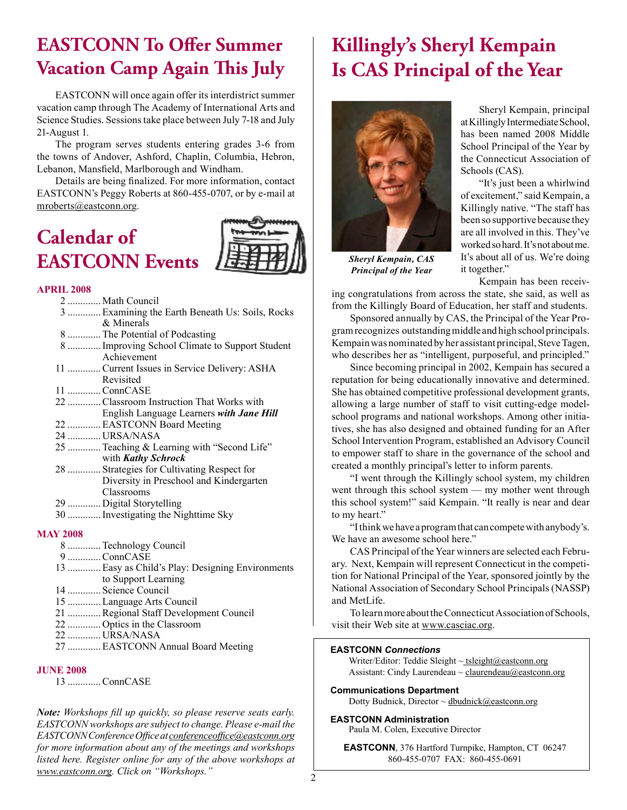### **EASTCONN To Offer Summer Vacation Camp Again "is July**

EASTCONN will once again offer its interdistrict summer vacation camp through The Academy of International Arts and Science Studies. Sessions take place between July 7-18 and July 21-August 1.

The program serves students entering grades 3-6 from the towns of Andover, Ashford, Chaplin, Columbia, Hebron, Lebanon, Mansfeld, Marlborough and Windham.

Details are being fnalized. For more information, contact EASTCONN's Peggy Roberts at 860-455-0707, or by e-mail at mroberts@eastconn.org.

### **Calendar of EASTCONN Events**

#### **APRIL 2008**

| 2  Math Council                                 |
|-------------------------------------------------|
| 3  Examining the Earth Beneath Us: Soils, Rocks |
| & Minerals                                      |
| 8  The Potential of Podcasting                  |
| 8 Improving School Climate to Support Student   |
| Achievement                                     |
| 11  Current Issues in Service Delivery: ASHA    |
| Revisited                                       |
| 11 ConnCASE                                     |
| 22 Classroom Instruction That Works with        |
| English Language Learners with Jane Hill        |
| 22  EASTCONN Board Meeting                      |
| 24  URSA/NASA                                   |
| 25  Teaching & Learning with "Second Life"      |
| with Kathy Schrock                              |
| 28  Strategies for Cultivating Respect for      |
| Diversity in Preschool and Kindergarten         |
| Classrooms                                      |
| 29  Digital Storytelling                        |
| 30  Investigating the Nighttime Sky             |

#### **MAY 2008**

- 8 .............Technology Council 9 .............ConnCASE 13 .............Easy as Child's Play: Designing Environments to Support Learning 14 ............. Science Council
- 15 .............Language Arts Council
- 21 .............Regional Staff Development Council
- 22 ............. Optics in the Classroom
- 22 ............. URSA/NASA
- 27 .............EASTCONN Annual Board Meeting

#### **JUNE 2008**

13 .............ConnCASE

*Note: Workshops fll up quickly, so please reserve seats early. EASTCONN workshops are subject to change. Please e-mail the EASTCONN Conference Offce at conferenceoffce@eastconn.org for more information about any of the meetings and workshops listed here. Register online for any of the above workshops at www.eastconn.org. Click on "Workshops."* <sup>2</sup>

## **Killingly's Sheryl Kempain Is CAS Principal of the Year**



*Sheryl Kempain, CAS Principal of the Year*

Sheryl Kempain, principal at Killingly Intermediate School, has been named 2008 Middle School Principal of the Year by the Connecticut Association of Schools (CAS).

"It's just been a whirlwind of excitement," said Kempain, a Killingly native. "The staff has been so supportive because they are all involved in this. They've worked so hard. It's not about me. It's about all of us. We're doing it together."

Kempain has been receiv-

ing congratulations from across the state, she said, as well as from the Killingly Board of Education, her staff and students.

Sponsored annually by CAS, the Principal of the Year Program recognizes outstanding middle and high school principals. Kempain was nominated by her assistant principal, Steve Tagen, who describes her as "intelligent, purposeful, and principled."

Since becoming principal in 2002, Kempain has secured a reputation for being educationally innovative and determined. She has obtained competitive professional development grants, allowing a large number of staff to visit cutting-edge modelschool programs and national workshops. Among other initiatives, she has also designed and obtained funding for an After School Intervention Program, established an Advisory Council to empower staff to share in the governance of the school and created a monthly principal's letter to inform parents.

"I went through the Killingly school system, my children went through this school system — my mother went through this school system!" said Kempain. "It really is near and dear to my heart."

"I think we have a program that can compete with anybody's. We have an awesome school here."

CAS Principal of the Year winners are selected each February. Next, Kempain will represent Connecticut in the competition for National Principal of the Year, sponsored jointly by the National Association of Secondary School Principals (NASSP) and MetLife.

To learn more about the Connecticut Association of Schools, visit their Web site at www.casciac.org.

#### **EASTCONN** *Connections*

Writer/Editor: Teddie Sleight  $\sim$  tsleight@eastconn.org Assistant: Cindy Laurendeau  $\sim$  claurendeau $\omega$ eastconn.org

**Communications Department**

Dotty Budnick, Director ~ dbudnick@eastconn.org

#### **EASTCONN Administration**

Paula M. Colen, Executive Director

**EASTCONN**, 376 Hartford Turnpike, Hampton, CT 06247 860-455-0707 FAX: 860-455-0691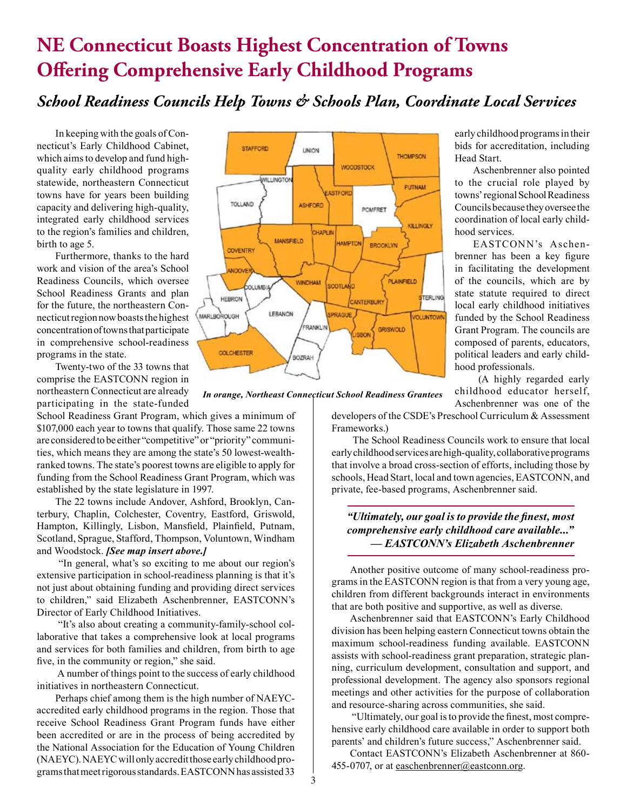### **NE Connecticut Boasts Highest Concentration of Towns Offering Comprehensive Early Childhood Programs**

#### *School Readiness Councils Help Towns & Schools Plan, Coordinate Local Services*

In keeping with the goals of Connecticut's Early Childhood Cabinet, which aims to develop and fund highquality early childhood programs statewide, northeastern Connecticut towns have for years been building capacity and delivering high-quality, integrated early childhood services to the region's families and children, birth to age 5.

Furthermore, thanks to the hard work and vision of the area's School Readiness Councils, which oversee School Readiness Grants and plan for the future, the northeastern Connecticut region now boasts the highest concentration of towns that participate in comprehensive school-readiness programs in the state.

Twenty-two of the 33 towns that comprise the EASTCONN region in northeastern Connecticut are already participating in the state-funded

School Readiness Grant Program, which gives a minimum of \$107,000 each year to towns that qualify. Those same 22 towns are considered to be either "competitive" or "priority" communities, which means they are among the state's 50 lowest-wealthranked towns. The state's poorest towns are eligible to apply for funding from the School Readiness Grant Program, which was established by the state legislature in 1997.

The 22 towns include Andover, Ashford, Brooklyn, Canterbury, Chaplin, Colchester, Coventry, Eastford, Griswold, Hampton, Killingly, Lisbon, Mansfeld, Plainfeld, Putnam, Scotland, Sprague, Stafford, Thompson, Voluntown, Windham and Woodstock. *[See map insert above.]*

 "In general, what's so exciting to me about our region's extensive participation in school-readiness planning is that it's not just about obtaining funding and providing direct services to children," said Elizabeth Aschenbrenner, EASTCONN's Director of Early Childhood Initiatives.

 "It's also about creating a community-family-school collaborative that takes a comprehensive look at local programs and services for both families and children, from birth to age fve, in the community or region," she said.

 A number of things point to the success of early childhood initiatives in northeastern Connecticut.

Perhaps chief among them is the high number of NAEYCaccredited early childhood programs in the region. Those that receive School Readiness Grant Program funds have either been accredited or are in the process of being accredited by the National Association for the Education of Young Children (NAEYC). NAEYC will only accredit those early childhood programs that meet rigorous standards. EASTCONN has assisted 33



*In orange, Northeast Connecticut School Readiness Grantees*

early childhood programs in their bids for accreditation, including Head Start.

Aschenbrenner also pointed to the crucial role played by towns' regional School Readiness Councils because they oversee the coordination of local early childhood services.

EASTCONN's Aschenbrenner has been a key fgure in facilitating the development of the councils, which are by state statute required to direct local early childhood initiatives funded by the School Readiness Grant Program. The councils are composed of parents, educators, political leaders and early childhood professionals.

 (A highly regarded early childhood educator herself, Aschenbrenner was one of the

developers of the CSDE's Preschool Curriculum & Assessment Frameworks.)

 The School Readiness Councils work to ensure that local early childhood services are high-quality, collaborative programs that involve a broad cross-section of efforts, including those by schools, Head Start, local and town agencies, EASTCONN, and private, fee-based programs, Aschenbrenner said.

#### *"Ultimately, our goal is to provide the fnest, most comprehensive early childhood care available..." — EASTCONN's Elizabeth Aschenbrenner*

Another positive outcome of many school-readiness programs in the EASTCONN region is that from a very young age, children from different backgrounds interact in environments that are both positive and supportive, as well as diverse.

Aschenbrenner said that EASTCONN's Early Childhood division has been helping eastern Connecticut towns obtain the maximum school-readiness funding available. EASTCONN assists with school-readiness grant preparation, strategic planning, curriculum development, consultation and support, and professional development. The agency also sponsors regional meetings and other activities for the purpose of collaboration and resource-sharing across communities, she said.

 "Ultimately, our goal is to provide the fnest, most comprehensive early childhood care available in order to support both parents' and children's future success," Aschenbrenner said.

Contact EASTCONN's Elizabeth Aschenbrenner at 860- 455-0707, or at easchenbrenner@eastconn.org.